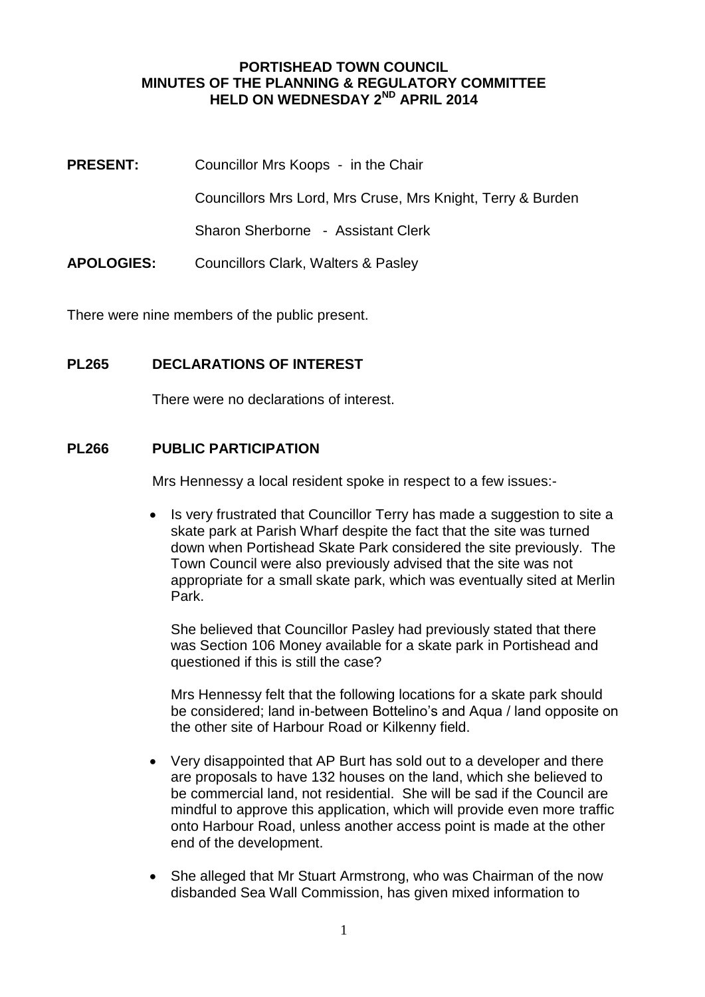#### **PORTISHEAD TOWN COUNCIL MINUTES OF THE PLANNING & REGULATORY COMMITTEE HELD ON WEDNESDAY 2ND APRIL 2014**

**PRESENT:** Councillor Mrs Koops - in the Chair Councillors Mrs Lord, Mrs Cruse, Mrs Knight, Terry & Burden Sharon Sherborne - Assistant Clerk **APOLOGIES:** Councillors Clark, Walters & Pasley

There were nine members of the public present.

#### **PL265 DECLARATIONS OF INTEREST**

There were no declarations of interest.

#### **PL266 PUBLIC PARTICIPATION**

Mrs Hennessy a local resident spoke in respect to a few issues:-

• Is very frustrated that Councillor Terry has made a suggestion to site a skate park at Parish Wharf despite the fact that the site was turned down when Portishead Skate Park considered the site previously. The Town Council were also previously advised that the site was not appropriate for a small skate park, which was eventually sited at Merlin Park.

She believed that Councillor Pasley had previously stated that there was Section 106 Money available for a skate park in Portishead and questioned if this is still the case?

Mrs Hennessy felt that the following locations for a skate park should be considered; land in-between Bottelino's and Aqua / land opposite on the other site of Harbour Road or Kilkenny field.

- Very disappointed that AP Burt has sold out to a developer and there are proposals to have 132 houses on the land, which she believed to be commercial land, not residential. She will be sad if the Council are mindful to approve this application, which will provide even more traffic onto Harbour Road, unless another access point is made at the other end of the development.
- She alleged that Mr Stuart Armstrong, who was Chairman of the now disbanded Sea Wall Commission, has given mixed information to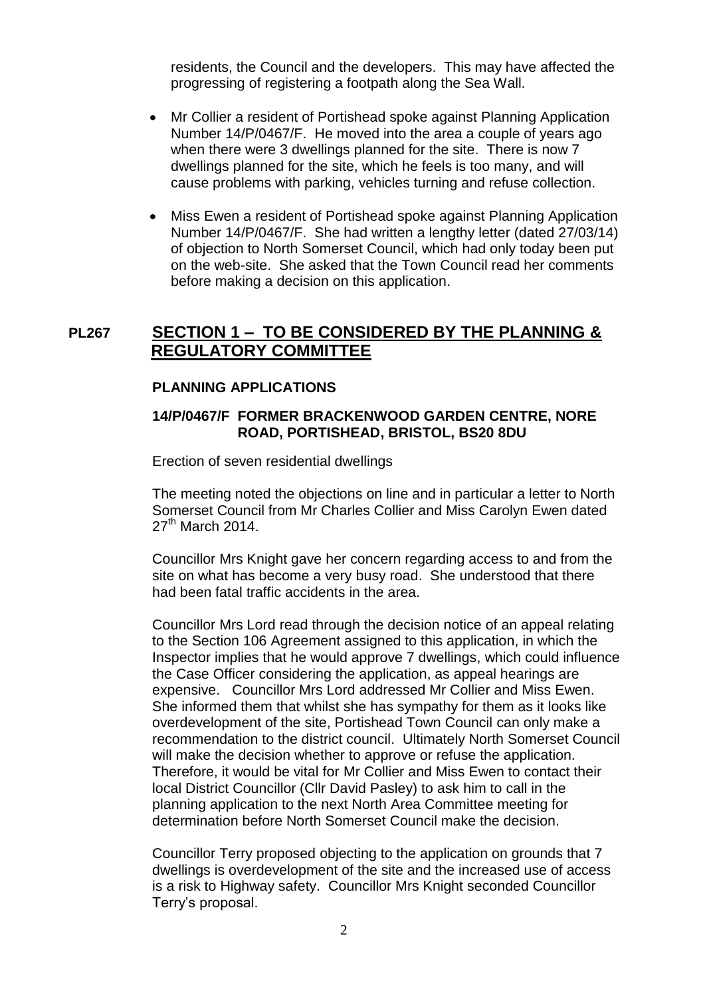residents, the Council and the developers. This may have affected the progressing of registering a footpath along the Sea Wall.

- Mr Collier a resident of Portishead spoke against Planning Application Number 14/P/0467/F. He moved into the area a couple of years ago when there were 3 dwellings planned for the site. There is now 7 dwellings planned for the site, which he feels is too many, and will cause problems with parking, vehicles turning and refuse collection.
- Miss Ewen a resident of Portishead spoke against Planning Application Number 14/P/0467/F. She had written a lengthy letter (dated 27/03/14) of objection to North Somerset Council, which had only today been put on the web-site. She asked that the Town Council read her comments before making a decision on this application.

# **PL267 SECTION 1 – TO BE CONSIDERED BY THE PLANNING & REGULATORY COMMITTEE**

#### **PLANNING APPLICATIONS**

#### **14/P/0467/F FORMER BRACKENWOOD GARDEN CENTRE, NORE ROAD, PORTISHEAD, BRISTOL, BS20 8DU**

Erection of seven residential dwellings

The meeting noted the objections on line and in particular a letter to North Somerset Council from Mr Charles Collier and Miss Carolyn Ewen dated  $27<sup>th</sup>$  March 2014.

Councillor Mrs Knight gave her concern regarding access to and from the site on what has become a very busy road. She understood that there had been fatal traffic accidents in the area.

Councillor Mrs Lord read through the decision notice of an appeal relating to the Section 106 Agreement assigned to this application, in which the Inspector implies that he would approve 7 dwellings, which could influence the Case Officer considering the application, as appeal hearings are expensive. Councillor Mrs Lord addressed Mr Collier and Miss Ewen. She informed them that whilst she has sympathy for them as it looks like overdevelopment of the site, Portishead Town Council can only make a recommendation to the district council. Ultimately North Somerset Council will make the decision whether to approve or refuse the application. Therefore, it would be vital for Mr Collier and Miss Ewen to contact their local District Councillor (Cllr David Pasley) to ask him to call in the planning application to the next North Area Committee meeting for determination before North Somerset Council make the decision.

Councillor Terry proposed objecting to the application on grounds that 7 dwellings is overdevelopment of the site and the increased use of access is a risk to Highway safety. Councillor Mrs Knight seconded Councillor Terry's proposal.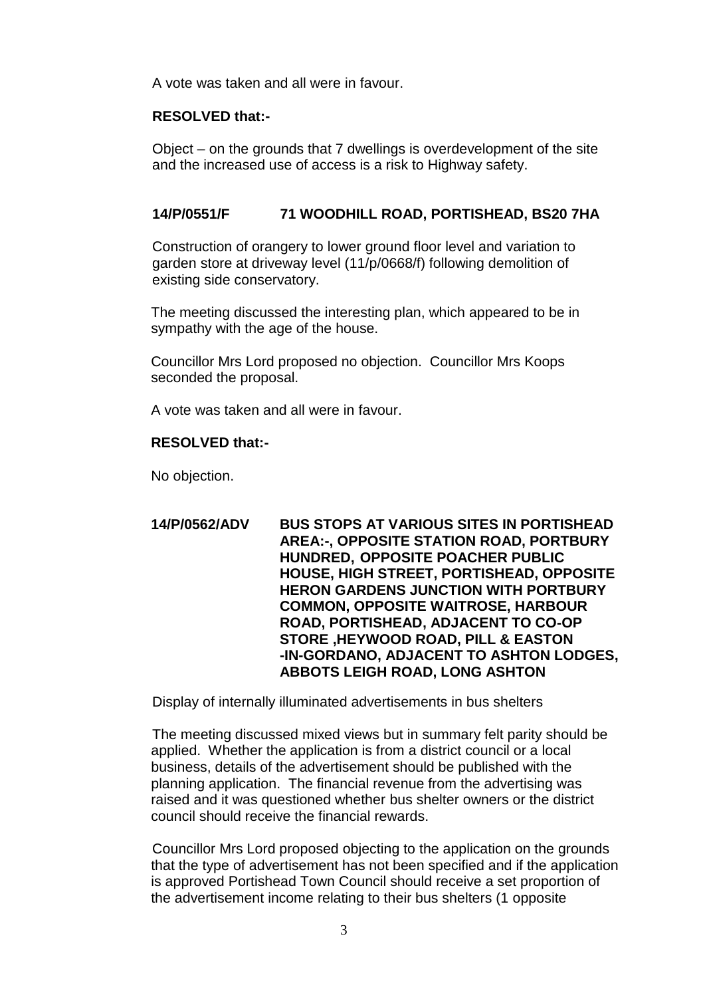A vote was taken and all were in favour.

#### **RESOLVED that:-**

Object – on the grounds that 7 dwellings is overdevelopment of the site and the increased use of access is a risk to Highway safety.

#### **14/P/0551/F 71 WOODHILL ROAD, PORTISHEAD, BS20 7HA**

Construction of orangery to lower ground floor level and variation to garden store at driveway level (11/p/0668/f) following demolition of existing side conservatory.

The meeting discussed the interesting plan, which appeared to be in sympathy with the age of the house.

Councillor Mrs Lord proposed no objection. Councillor Mrs Koops seconded the proposal.

A vote was taken and all were in favour.

#### **RESOLVED that:-**

No objection.

**14/P/0562/ADV BUS STOPS AT VARIOUS SITES IN PORTISHEAD AREA:-, OPPOSITE STATION ROAD, PORTBURY HUNDRED, OPPOSITE POACHER PUBLIC HOUSE, HIGH STREET, PORTISHEAD, OPPOSITE HERON GARDENS JUNCTION WITH PORTBURY COMMON, OPPOSITE WAITROSE, HARBOUR ROAD, PORTISHEAD, ADJACENT TO CO-OP STORE ,HEYWOOD ROAD, PILL & EASTON -IN-GORDANO, ADJACENT TO ASHTON LODGES, ABBOTS LEIGH ROAD, LONG ASHTON**

Display of internally illuminated advertisements in bus shelters

The meeting discussed mixed views but in summary felt parity should be applied. Whether the application is from a district council or a local business, details of the advertisement should be published with the planning application. The financial revenue from the advertising was raised and it was questioned whether bus shelter owners or the district council should receive the financial rewards.

Councillor Mrs Lord proposed objecting to the application on the grounds that the type of advertisement has not been specified and if the application is approved Portishead Town Council should receive a set proportion of the advertisement income relating to their bus shelters (1 opposite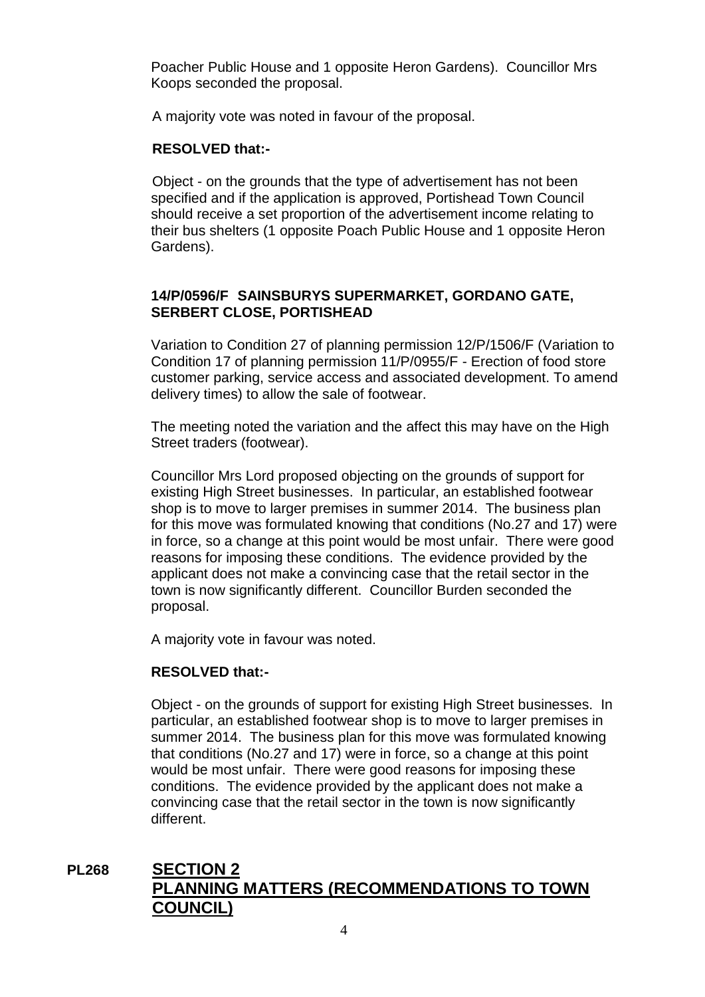Poacher Public House and 1 opposite Heron Gardens). Councillor Mrs Koops seconded the proposal.

A majority vote was noted in favour of the proposal.

#### **RESOLVED that:-**

Object - on the grounds that the type of advertisement has not been specified and if the application is approved, Portishead Town Council should receive a set proportion of the advertisement income relating to their bus shelters (1 opposite Poach Public House and 1 opposite Heron Gardens).

#### **14/P/0596/F SAINSBURYS SUPERMARKET, GORDANO GATE, SERBERT CLOSE, PORTISHEAD**

Variation to Condition 27 of planning permission 12/P/1506/F (Variation to Condition 17 of planning permission 11/P/0955/F - Erection of food store customer parking, service access and associated development. To amend delivery times) to allow the sale of footwear.

The meeting noted the variation and the affect this may have on the High Street traders (footwear).

Councillor Mrs Lord proposed objecting on the grounds of support for existing High Street businesses. In particular, an established footwear shop is to move to larger premises in summer 2014. The business plan for this move was formulated knowing that conditions (No.27 and 17) were in force, so a change at this point would be most unfair. There were good reasons for imposing these conditions. The evidence provided by the applicant does not make a convincing case that the retail sector in the town is now significantly different. Councillor Burden seconded the proposal.

A majority vote in favour was noted.

#### **RESOLVED that:-**

Object - on the grounds of support for existing High Street businesses. In particular, an established footwear shop is to move to larger premises in summer 2014. The business plan for this move was formulated knowing that conditions (No.27 and 17) were in force, so a change at this point would be most unfair. There were good reasons for imposing these conditions. The evidence provided by the applicant does not make a convincing case that the retail sector in the town is now significantly different.

# **PL268 SECTION 2 PLANNING MATTERS (RECOMMENDATIONS TO TOWN COUNCIL)**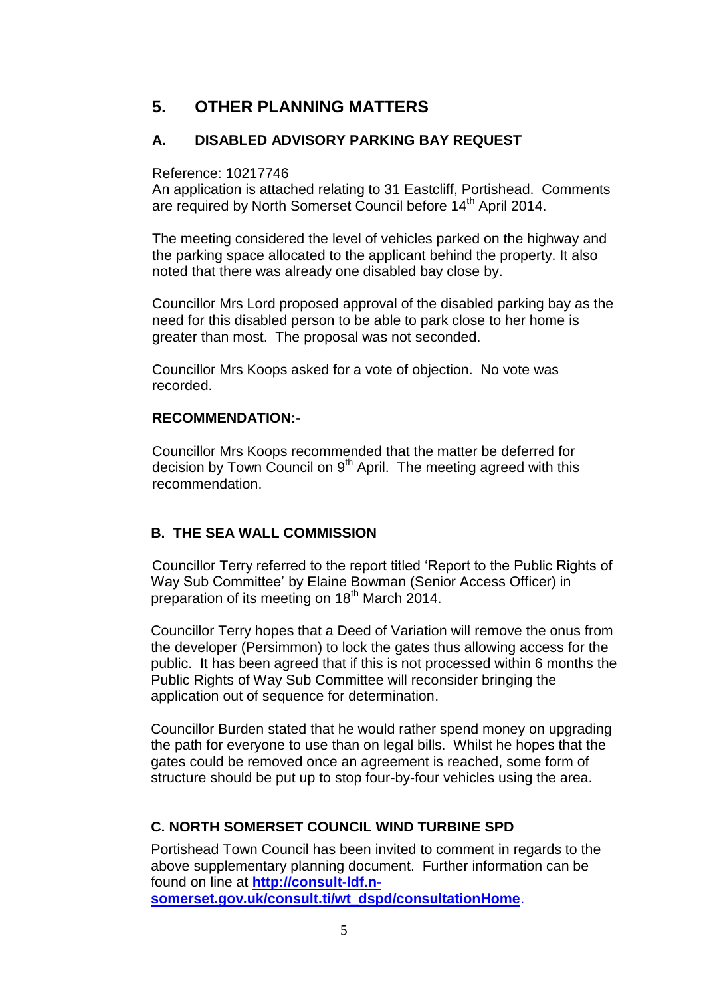# **5. OTHER PLANNING MATTERS**

## **A. DISABLED ADVISORY PARKING BAY REQUEST**

Reference: 10217746

An application is attached relating to 31 Eastcliff, Portishead. Comments are required by North Somerset Council before 14<sup>th</sup> April 2014.

The meeting considered the level of vehicles parked on the highway and the parking space allocated to the applicant behind the property. It also noted that there was already one disabled bay close by.

Councillor Mrs Lord proposed approval of the disabled parking bay as the need for this disabled person to be able to park close to her home is greater than most. The proposal was not seconded.

Councillor Mrs Koops asked for a vote of objection. No vote was recorded.

### **RECOMMENDATION:-**

Councillor Mrs Koops recommended that the matter be deferred for decision by Town Council on  $9<sup>th</sup>$  April. The meeting agreed with this recommendation.

## **B. THE SEA WALL COMMISSION**

Councillor Terry referred to the report titled 'Report to the Public Rights of Way Sub Committee' by Elaine Bowman (Senior Access Officer) in preparation of its meeting on 18<sup>th</sup> March 2014.

Councillor Terry hopes that a Deed of Variation will remove the onus from the developer (Persimmon) to lock the gates thus allowing access for the public. It has been agreed that if this is not processed within 6 months the Public Rights of Way Sub Committee will reconsider bringing the application out of sequence for determination.

Councillor Burden stated that he would rather spend money on upgrading the path for everyone to use than on legal bills. Whilst he hopes that the gates could be removed once an agreement is reached, some form of structure should be put up to stop four-by-four vehicles using the area.

# **C. NORTH SOMERSET COUNCIL WIND TURBINE SPD**

Portishead Town Council has been invited to comment in regards to the above supplementary planning document. Further information can be found on line at **[http://consult-ldf.n](http://consult-ldf.n-somerset.gov.uk/consult.ti/wt_dspd/consultationHome)[somerset.gov.uk/consult.ti/wt\\_dspd/consultationHome](http://consult-ldf.n-somerset.gov.uk/consult.ti/wt_dspd/consultationHome)**.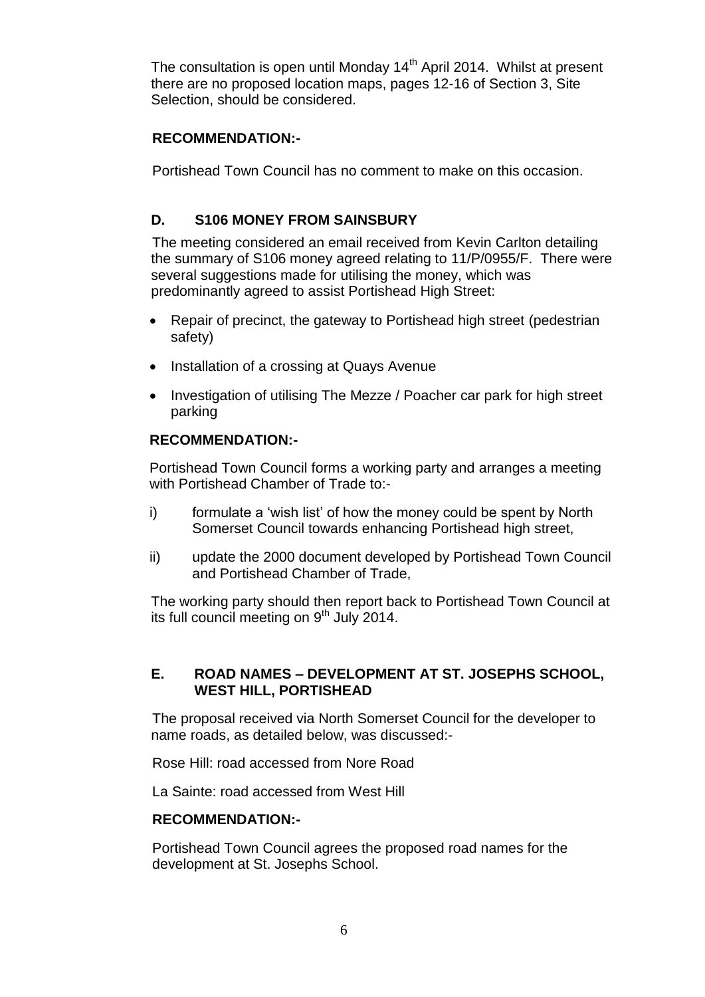The consultation is open until Monday 14<sup>th</sup> April 2014. Whilst at present there are no proposed location maps, pages 12-16 of Section 3, Site Selection, should be considered.

## **RECOMMENDATION:-**

Portishead Town Council has no comment to make on this occasion.

## **D. S106 MONEY FROM SAINSBURY**

The meeting considered an email received from Kevin Carlton detailing the summary of S106 money agreed relating to 11/P/0955/F. There were several suggestions made for utilising the money, which was predominantly agreed to assist Portishead High Street:

- Repair of precinct, the gateway to Portishead high street (pedestrian safety)
- Installation of a crossing at Quays Avenue
- Investigation of utilising The Mezze / Poacher car park for high street parking

#### **RECOMMENDATION:-**

Portishead Town Council forms a working party and arranges a meeting with Portishead Chamber of Trade to:-

- i) formulate a 'wish list' of how the money could be spent by North Somerset Council towards enhancing Portishead high street,
- ii) update the 2000 document developed by Portishead Town Council and Portishead Chamber of Trade,

The working party should then report back to Portishead Town Council at its full council meeting on  $9<sup>th</sup>$  July 2014.

### **E. ROAD NAMES – DEVELOPMENT AT ST. JOSEPHS SCHOOL, WEST HILL, PORTISHEAD**

The proposal received via North Somerset Council for the developer to name roads, as detailed below, was discussed:-

Rose Hill: road accessed from Nore Road

La Sainte: road accessed from West Hill

#### **RECOMMENDATION:-**

Portishead Town Council agrees the proposed road names for the development at St. Josephs School.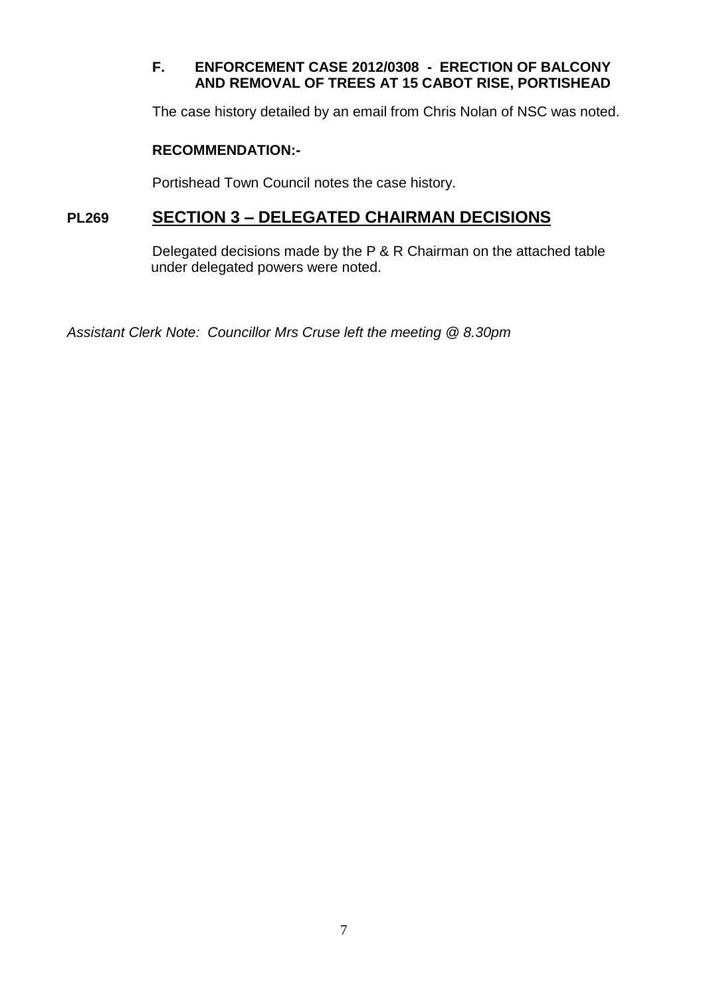# **F. ENFORCEMENT CASE 2012/0308 - ERECTION OF BALCONY AND REMOVAL OF TREES AT 15 CABOT RISE, PORTISHEAD**

The case history detailed by an email from Chris Nolan of NSC was noted.

## **RECOMMENDATION:-**

Portishead Town Council notes the case history.

# **PL269 SECTION 3 – DELEGATED CHAIRMAN DECISIONS**

Delegated decisions made by the P & R Chairman on the attached table under delegated powers were noted.

*Assistant Clerk Note: Councillor Mrs Cruse left the meeting @ 8.30pm*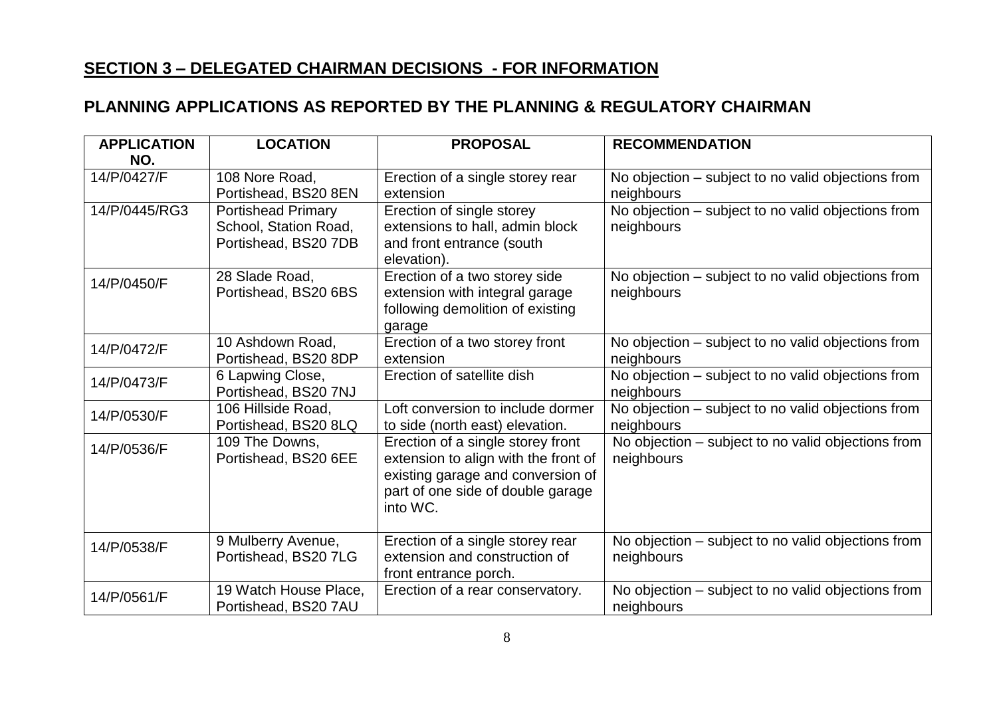# **SECTION 3 – DELEGATED CHAIRMAN DECISIONS - FOR INFORMATION**

# **PLANNING APPLICATIONS AS REPORTED BY THE PLANNING & REGULATORY CHAIRMAN**

| <b>APPLICATION</b><br>NO. | <b>LOCATION</b>                                                            | <b>PROPOSAL</b>                                                                                                                                                 | <b>RECOMMENDATION</b>                                            |
|---------------------------|----------------------------------------------------------------------------|-----------------------------------------------------------------------------------------------------------------------------------------------------------------|------------------------------------------------------------------|
| 14/P/0427/F               | 108 Nore Road,<br>Portishead, BS20 8EN                                     | Erection of a single storey rear<br>extension                                                                                                                   | No objection – subject to no valid objections from<br>neighbours |
| 14/P/0445/RG3             | <b>Portishead Primary</b><br>School, Station Road,<br>Portishead, BS20 7DB | Erection of single storey<br>extensions to hall, admin block<br>and front entrance (south<br>elevation).                                                        | No objection – subject to no valid objections from<br>neighbours |
| 14/P/0450/F               | 28 Slade Road,<br>Portishead, BS20 6BS                                     | Erection of a two storey side<br>extension with integral garage<br>following demolition of existing<br>garage                                                   | No objection – subject to no valid objections from<br>neighbours |
| 14/P/0472/F               | 10 Ashdown Road,<br>Portishead, BS20 8DP                                   | Erection of a two storey front<br>extension                                                                                                                     | No objection - subject to no valid objections from<br>neighbours |
| 14/P/0473/F               | 6 Lapwing Close,<br>Portishead, BS20 7NJ                                   | Erection of satellite dish                                                                                                                                      | No objection – subject to no valid objections from<br>neighbours |
| 14/P/0530/F               | 106 Hillside Road,<br>Portishead, BS20 8LQ                                 | Loft conversion to include dormer<br>to side (north east) elevation.                                                                                            | No objection – subject to no valid objections from<br>neighbours |
| 14/P/0536/F               | 109 The Downs,<br>Portishead, BS20 6EE                                     | Erection of a single storey front<br>extension to align with the front of<br>existing garage and conversion of<br>part of one side of double garage<br>into WC. | No objection – subject to no valid objections from<br>neighbours |
| 14/P/0538/F               | 9 Mulberry Avenue,<br>Portishead, BS20 7LG                                 | Erection of a single storey rear<br>extension and construction of<br>front entrance porch.                                                                      | No objection – subject to no valid objections from<br>neighbours |
| 14/P/0561/F               | 19 Watch House Place,<br>Portishead, BS20 7AU                              | Erection of a rear conservatory.                                                                                                                                | No objection – subject to no valid objections from<br>neighbours |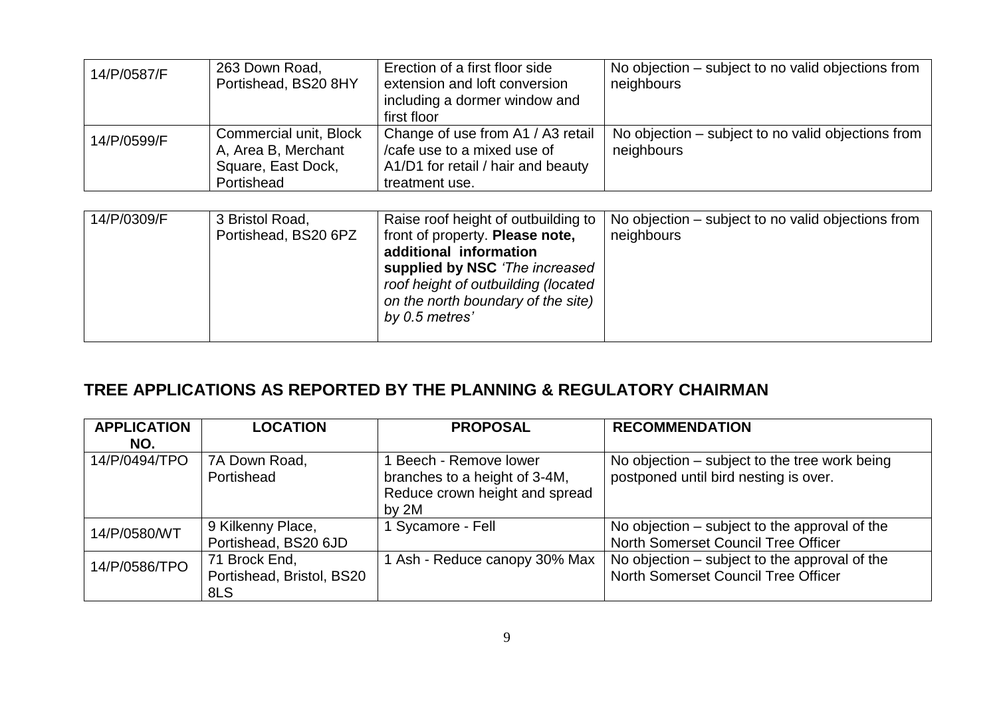| 14/P/0587/F | 263 Down Road,<br>Portishead, BS20 8HY        | Erection of a first floor side<br>extension and loft conversion<br>including a dormer window and<br>first floor | No objection – subject to no valid objections from<br>neighbours |
|-------------|-----------------------------------------------|-----------------------------------------------------------------------------------------------------------------|------------------------------------------------------------------|
| 14/P/0599/F | Commercial unit, Block<br>A, Area B, Merchant | Change of use from A1 / A3 retail<br>/cafe use to a mixed use of                                                | No objection – subject to no valid objections from               |
|             |                                               |                                                                                                                 | neighbours                                                       |
|             | Square, East Dock,                            | A1/D1 for retail / hair and beauty                                                                              |                                                                  |
|             | Portishead                                    | treatment use.                                                                                                  |                                                                  |

| 14/P/0309/F<br>3 Bristol Road,<br>Portishead, BS20 6PZ | Raise roof height of outbuilding to<br>front of property. Please note,<br>additional information<br>supplied by NSC 'The increased<br>roof height of outbuilding (located<br>on the north boundary of the site)<br>by 0.5 metres' | No objection – subject to no valid objections from<br>neighbours |
|--------------------------------------------------------|-----------------------------------------------------------------------------------------------------------------------------------------------------------------------------------------------------------------------------------|------------------------------------------------------------------|
|--------------------------------------------------------|-----------------------------------------------------------------------------------------------------------------------------------------------------------------------------------------------------------------------------------|------------------------------------------------------------------|

# **TREE APPLICATIONS AS REPORTED BY THE PLANNING & REGULATORY CHAIRMAN**

| <b>APPLICATION</b><br>NO. | <b>LOCATION</b>                                   | <b>PROPOSAL</b>                                                                                  | <b>RECOMMENDATION</b>                                                                  |
|---------------------------|---------------------------------------------------|--------------------------------------------------------------------------------------------------|----------------------------------------------------------------------------------------|
| 14/P/0494/TPO             | 7A Down Road,<br>Portishead                       | Beech - Remove lower<br>branches to a height of 3-4M,<br>Reduce crown height and spread<br>by 2M | No objection – subject to the tree work being<br>postponed until bird nesting is over. |
| 14/P/0580/WT              | 9 Kilkenny Place,<br>Portishead, BS20 6JD         | 1 Sycamore - Fell                                                                                | No objection – subject to the approval of the<br>North Somerset Council Tree Officer   |
| 14/P/0586/TPO             | 71 Brock End,<br>Portishead, Bristol, BS20<br>8LS | 1 Ash - Reduce canopy 30% Max                                                                    | No objection – subject to the approval of the<br>North Somerset Council Tree Officer   |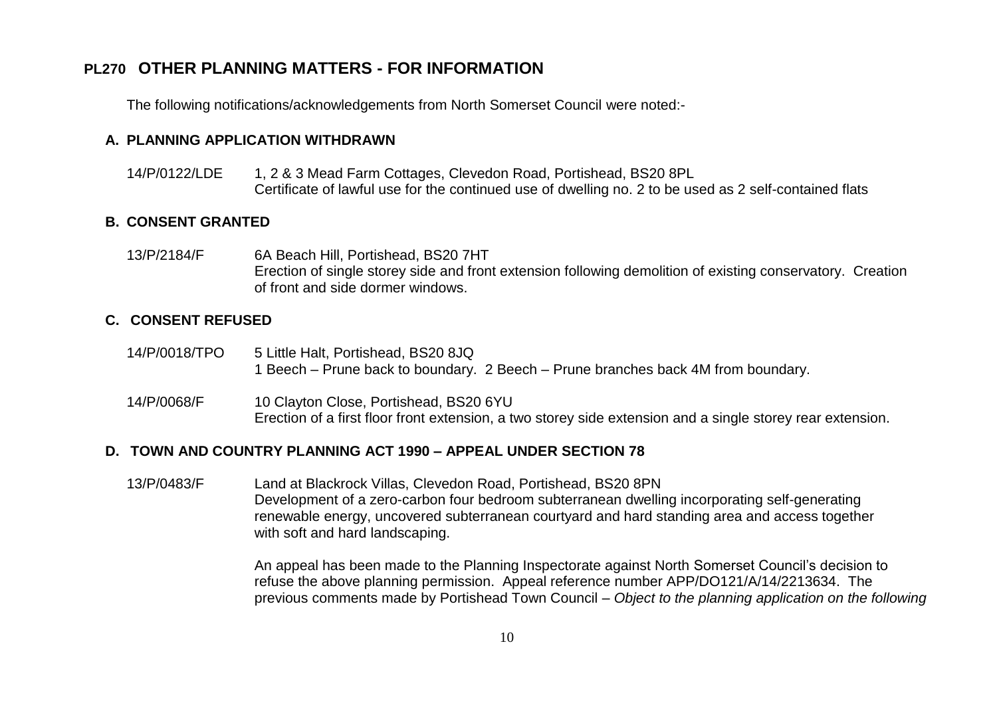# **PL270 OTHER PLANNING MATTERS - FOR INFORMATION**

The following notifications/acknowledgements from North Somerset Council were noted:-

#### **A. PLANNING APPLICATION WITHDRAWN**

14/P/0122/LDE 1, 2 & 3 Mead Farm Cottages, Clevedon Road, Portishead, BS20 8PL Certificate of lawful use for the continued use of dwelling no. 2 to be used as 2 self-contained flats

#### **B. CONSENT GRANTED**

13/P/2184/F 6A Beach Hill, Portishead, BS20 7HT Erection of single storey side and front extension following demolition of existing conservatory. Creation of front and side dormer windows.

#### **C. CONSENT REFUSED**

- 14/P/0018/TPO 5 Little Halt, Portishead, BS20 8JQ 1 Beech – Prune back to boundary. 2 Beech – Prune branches back 4M from boundary.
- 14/P/0068/F 10 Clayton Close, Portishead, BS20 6YU Erection of a first floor front extension, a two storey side extension and a single storey rear extension.

#### **D. TOWN AND COUNTRY PLANNING ACT 1990 – APPEAL UNDER SECTION 78**

13/P/0483/F Land at Blackrock Villas, Clevedon Road, Portishead, BS20 8PN Development of a zero-carbon four bedroom subterranean dwelling incorporating self-generating renewable energy, uncovered subterranean courtyard and hard standing area and access together with soft and hard landscaping.

> An appeal has been made to the Planning Inspectorate against North Somerset Council's decision to refuse the above planning permission. Appeal reference number APP/DO121/A/14/2213634. The previous comments made by Portishead Town Council – *Object to the planning application on the following*